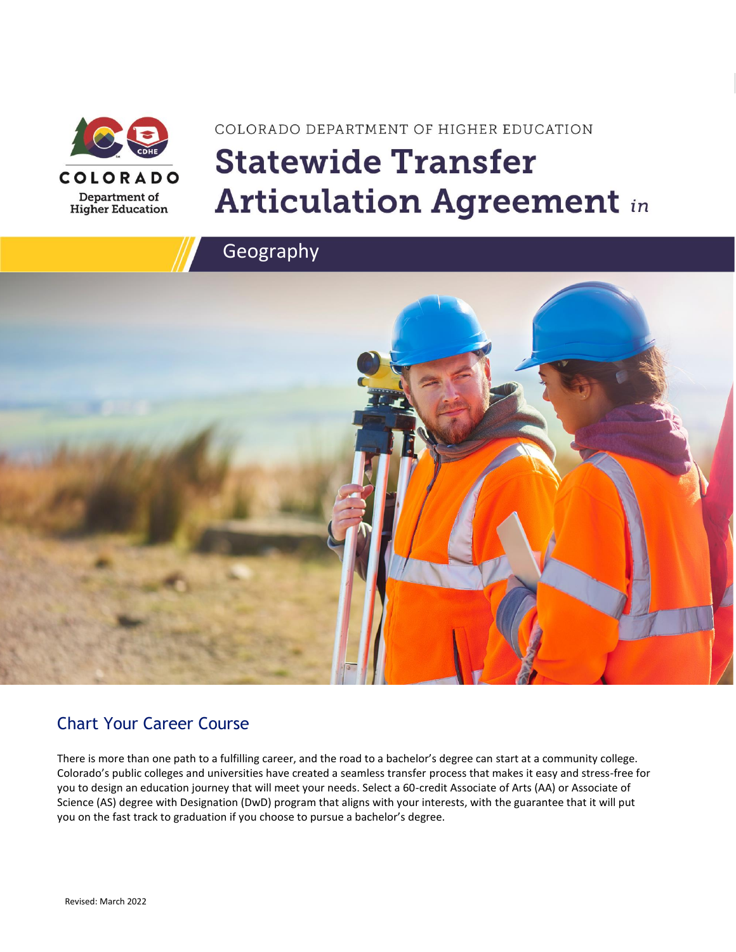

# COLORADO DEPARTMENT OF HIGHER EDUCATION **Statewide Transfer Articulation Agreement in**



### Chart Your Career Course

There is more than one path to a fulfilling career, and the road to a bachelor's degree can start at a community college. Colorado's public colleges and universities have created a seamless transfer process that makes it easy and stress-free for you to design an education journey that will meet your needs. Select a 60-credit Associate of Arts (AA) or Associate of Science (AS) degree with Designation (DwD) program that aligns with your interests, with the guarantee that it will put you on the fast track to graduation if you choose to pursue a bachelor's degree.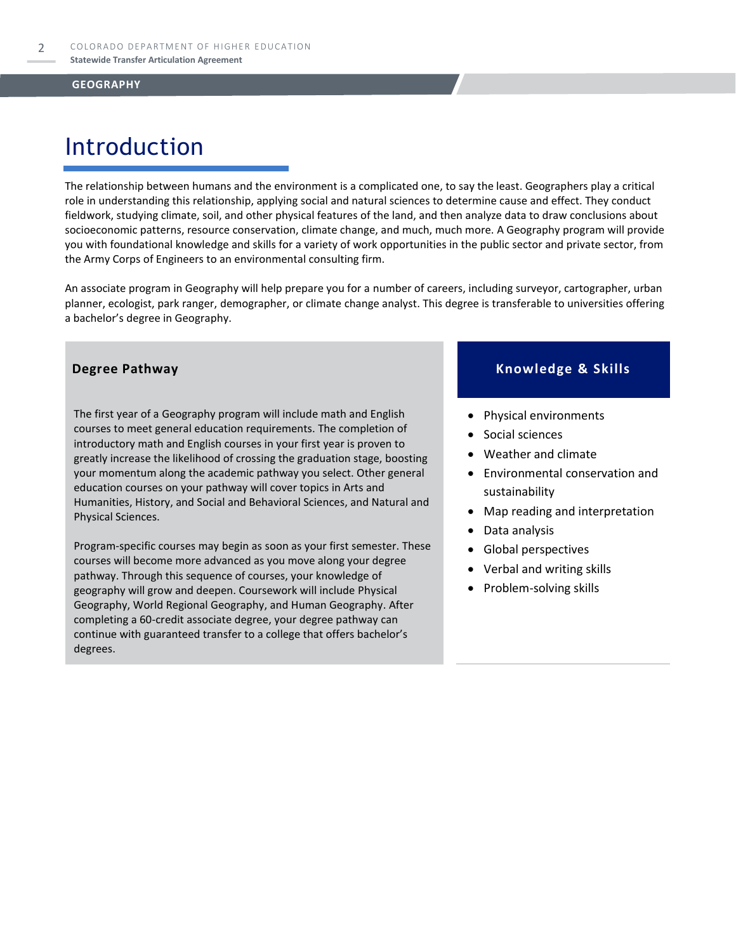### Introduction

The relationship between humans and the environment is a complicated one, to say the least. Geographers play a critical role in understanding this relationship, applying social and natural sciences to determine cause and effect. They conduct fieldwork, studying climate, soil, and other physical features of the land, and then analyze data to draw conclusions about socioeconomic patterns, resource conservation, climate change, and much, much more. A Geography program will provide you with foundational knowledge and skills for a variety of work opportunities in the public sector and private sector, from the Army Corps of Engineers to an environmental consulting firm.

An associate program in Geography will help prepare you for a number of careers, including surveyor, cartographer, urban planner, ecologist, park ranger, demographer, or climate change analyst. This degree is transferable to universities offering a bachelor's degree in Geography.

The first year of a Geography program will include math and English courses to meet general education requirements. The completion of introductory math and English courses in your first year is proven to greatly increase the likelihood of crossing the graduation stage, boosting your momentum along the academic pathway you select. Other general education courses on your pathway will cover topics in Arts and Humanities, History, and Social and Behavioral Sciences, and Natural and Physical Sciences.

Program-specific courses may begin as soon as your first semester. These courses will become more advanced as you move along your degree pathway. Through this sequence of courses, your knowledge of geography will grow and deepen. Coursework will include Physical Geography, World Regional Geography, and Human Geography. After completing a 60-credit associate degree, your degree pathway can continue with guaranteed transfer to a college that offers bachelor's degrees.

### **Degree Pathway Knowledge & Skills**

- Physical environments
- Social sciences
- Weather and climate
- Environmental conservation and sustainability
- Map reading and interpretation
- Data analysis
- Global perspectives
- Verbal and writing skills
- Problem-solving skills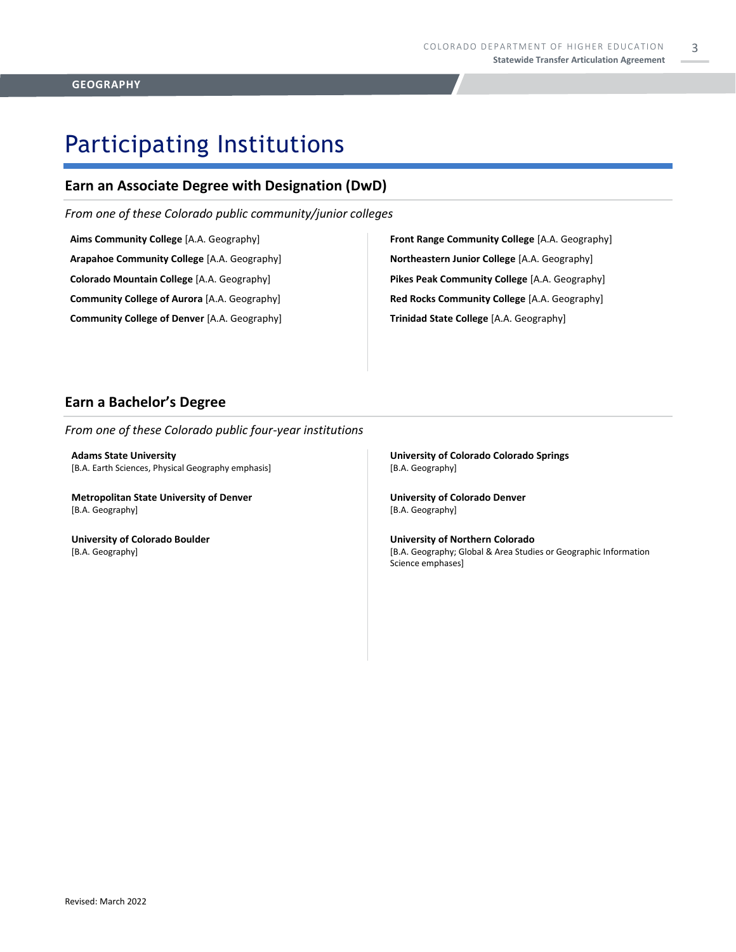3

### Participating Institutions

### **Earn an Associate Degree with Designation (DwD)**

*From one of these Colorado public community/junior colleges*

**Aims Community College** [A.A. Geography] **Arapahoe Community College** [A.A. Geography] **Colorado Mountain College** [A.A. Geography]

**Community College of Aurora** [A.A. Geography]

**Community College of Denver** [A.A. Geography]

**Front Range Community College** [A.A. Geography] **Northeastern Junior College** [A.A. Geography] **Pikes Peak Community College** [A.A. Geography] **Red Rocks Community College** [A.A. Geography] **Trinidad State College** [A.A. Geography]

### **Earn a Bachelor's Degree**

*From one of these Colorado public four-year institutions*

**Adams State University**  [B.A. Earth Sciences, Physical Geography emphasis]

**Metropolitan State University of Denver**  [B.A. Geography]

**University of Colorado Boulder**  [B.A. Geography]

**University of Colorado Colorado Springs** [B.A. Geography]

**University of Colorado Denver** [B.A. Geography]

**University of Northern Colorado** [B.A. Geography; Global & Area Studies or Geographic Information Science emphases]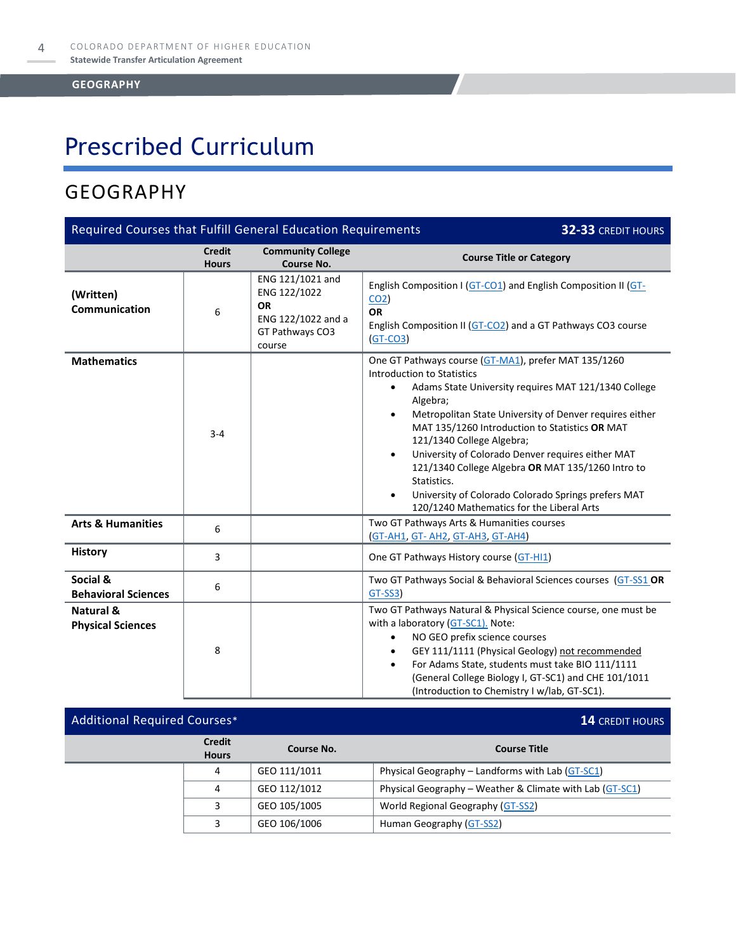## Prescribed Curriculum

### GEOGRAPHY

| Required Courses that Fulfill General Education Requirements<br>32-33 CREDIT HOURS |                               |                                                                                                  |                                                                                                                                                                                                                                                                                                                                                                                                                                                                                                                                                                                          |  |
|------------------------------------------------------------------------------------|-------------------------------|--------------------------------------------------------------------------------------------------|------------------------------------------------------------------------------------------------------------------------------------------------------------------------------------------------------------------------------------------------------------------------------------------------------------------------------------------------------------------------------------------------------------------------------------------------------------------------------------------------------------------------------------------------------------------------------------------|--|
|                                                                                    | <b>Credit</b><br><b>Hours</b> | <b>Community College</b><br><b>Course No.</b>                                                    | <b>Course Title or Category</b>                                                                                                                                                                                                                                                                                                                                                                                                                                                                                                                                                          |  |
| (Written)<br>Communication                                                         | 6                             | ENG 121/1021 and<br>ENG 122/1022<br><b>OR</b><br>ENG 122/1022 and a<br>GT Pathways CO3<br>course | English Composition I (GT-CO1) and English Composition II (GT-<br>CO <sub>2</sub><br><b>OR</b><br>English Composition II (GT-CO2) and a GT Pathways CO3 course<br>$(GT-CO3)$                                                                                                                                                                                                                                                                                                                                                                                                             |  |
| <b>Mathematics</b>                                                                 | $3 - 4$                       |                                                                                                  | One GT Pathways course (GT-MA1), prefer MAT 135/1260<br><b>Introduction to Statistics</b><br>Adams State University requires MAT 121/1340 College<br>$\bullet$<br>Algebra;<br>Metropolitan State University of Denver requires either<br>$\bullet$<br>MAT 135/1260 Introduction to Statistics OR MAT<br>121/1340 College Algebra;<br>University of Colorado Denver requires either MAT<br>$\bullet$<br>121/1340 College Algebra OR MAT 135/1260 Intro to<br>Statistics.<br>University of Colorado Colorado Springs prefers MAT<br>$\bullet$<br>120/1240 Mathematics for the Liberal Arts |  |
| <b>Arts &amp; Humanities</b>                                                       | 6                             |                                                                                                  | Two GT Pathways Arts & Humanities courses<br>(GT-AH1, GT-AH2, GT-AH3, GT-AH4)                                                                                                                                                                                                                                                                                                                                                                                                                                                                                                            |  |
| <b>History</b>                                                                     | 3                             |                                                                                                  | One GT Pathways History course (GT-HI1)                                                                                                                                                                                                                                                                                                                                                                                                                                                                                                                                                  |  |
| Social &<br><b>Behavioral Sciences</b>                                             | 6                             |                                                                                                  | Two GT Pathways Social & Behavioral Sciences courses (GT-SS1 OR<br>GT-SS3)                                                                                                                                                                                                                                                                                                                                                                                                                                                                                                               |  |
| <b>Natural &amp;</b><br><b>Physical Sciences</b>                                   | 8                             |                                                                                                  | Two GT Pathways Natural & Physical Science course, one must be<br>with a laboratory (GT-SC1). Note:<br>NO GEO prefix science courses<br>$\bullet$<br>GEY 111/1111 (Physical Geology) not recommended<br>For Adams State, students must take BIO 111/1111<br>$\bullet$<br>(General College Biology I, GT-SC1) and CHE 101/1011<br>(Introduction to Chemistry I w/lab, GT-SC1).                                                                                                                                                                                                            |  |

### Additional Required Courses\* **14** CREDIT HOURS **Credit Hours Course No. Course Title** 4 GEO 111/1011 Physical Geography – Landforms with Lab [\(GT-SC1\)](https://highered.colorado.gov/Academics/Transfers/gtPathways/Curriculum/Courses.aspx?cat=GT-SC1&cat=GT-SC1) 4 GEO 112/1012 Physical Geography – Weather & Climate with Lab  $(GT-SC1)$ 3 GEO 105/1005 World Regional Geography [\(GT-SS2\)](https://highered.colorado.gov/Academics/Transfers/gtPathways/Curriculum/Courses.aspx?cat=GT-SS2&cat=GT-SS2) 3 GEO 106/1006 Human Geography [\(GT-SS2\)](https://highered.colorado.gov/Academics/Transfers/gtPathways/Curriculum/Courses.aspx?cat=GT-SS2&cat=GT-SS2)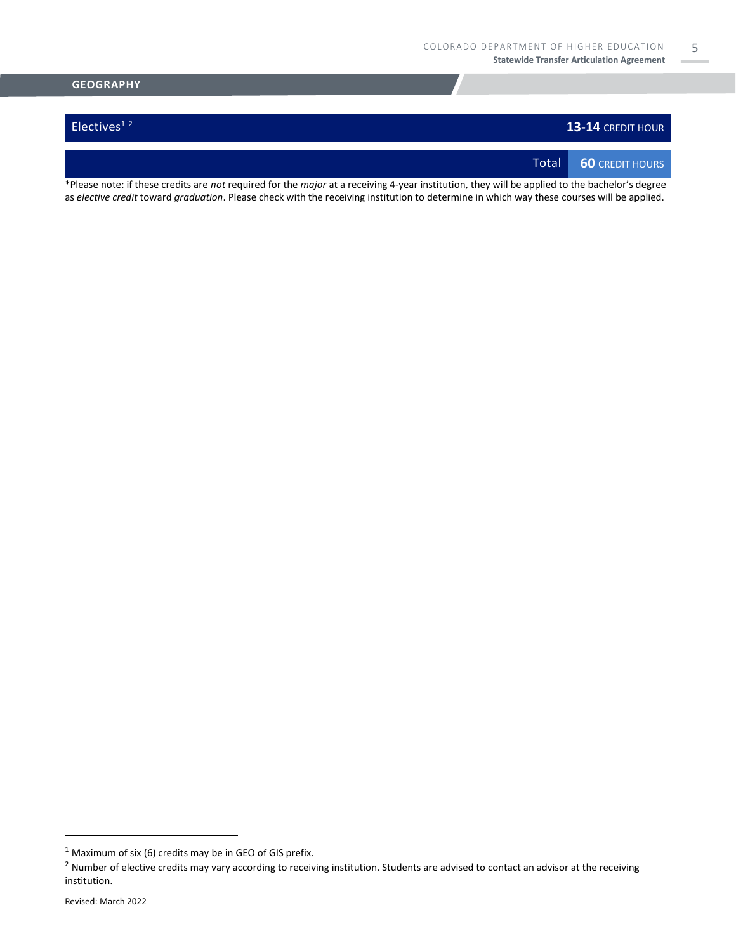5

# **GEOGRAPHY Electives<sup>12</sup> 13-14** CREDIT HOUR Total **60** CREDIT HOURS

\*Please note: if these credits are *not* required for the *major* at a receiving 4-year institution, they will be applied to the bachelor's degree as *elective credit* toward *graduation*. Please check with the receiving institution to determine in which way these courses will be applied.

 $1$  Maximum of six (6) credits may be in GEO of GIS prefix.

 $2$  Number of elective credits may vary according to receiving institution. Students are advised to contact an advisor at the receiving institution.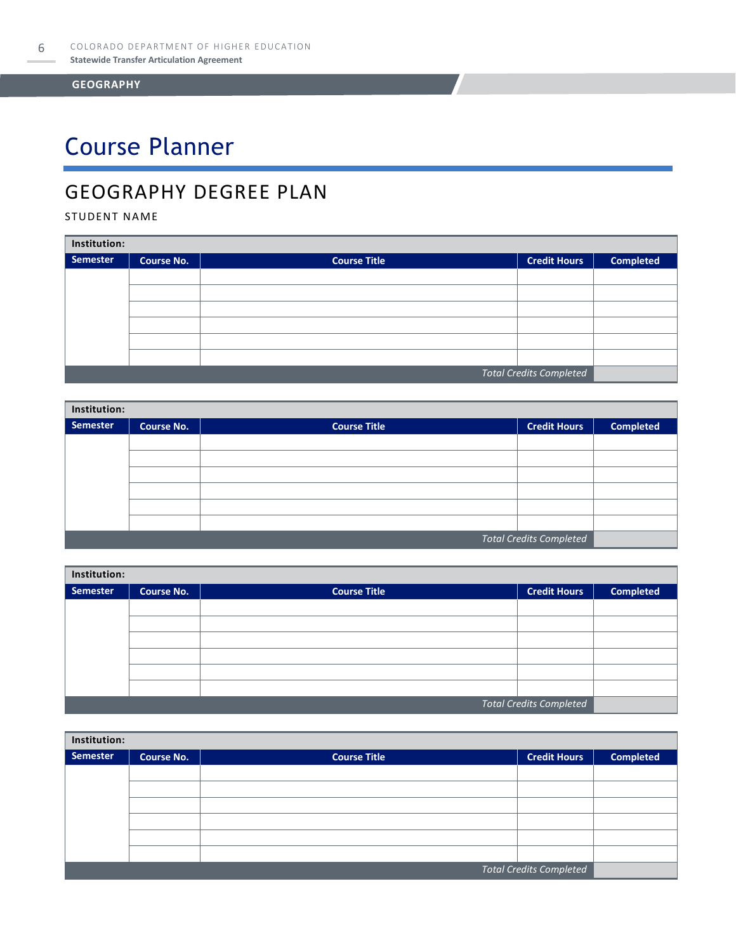# Course Planner

### GEOGRAPHY DEGREE PLAN

STUDENT NAME

| Institution:                   |                   |                     |                     |                  |  |
|--------------------------------|-------------------|---------------------|---------------------|------------------|--|
| Semester                       | <b>Course No.</b> | <b>Course Title</b> | <b>Credit Hours</b> | <b>Completed</b> |  |
|                                |                   |                     |                     |                  |  |
|                                |                   |                     |                     |                  |  |
|                                |                   |                     |                     |                  |  |
|                                |                   |                     |                     |                  |  |
|                                |                   |                     |                     |                  |  |
|                                |                   |                     |                     |                  |  |
| <b>Total Credits Completed</b> |                   |                     |                     |                  |  |

| Institution:                   |                   |                     |                     |                  |  |
|--------------------------------|-------------------|---------------------|---------------------|------------------|--|
| Semester                       | <b>Course No.</b> | <b>Course Title</b> | <b>Credit Hours</b> | <b>Completed</b> |  |
|                                |                   |                     |                     |                  |  |
|                                |                   |                     |                     |                  |  |
|                                |                   |                     |                     |                  |  |
|                                |                   |                     |                     |                  |  |
|                                |                   |                     |                     |                  |  |
|                                |                   |                     |                     |                  |  |
| <b>Total Credits Completed</b> |                   |                     |                     |                  |  |

| Institution: |            |                     |                                |                  |  |
|--------------|------------|---------------------|--------------------------------|------------------|--|
| Semester     | Course No. | <b>Course Title</b> | <b>Credit Hours</b>            | <b>Completed</b> |  |
|              |            |                     |                                |                  |  |
|              |            |                     |                                |                  |  |
|              |            |                     |                                |                  |  |
|              |            |                     |                                |                  |  |
|              |            |                     |                                |                  |  |
|              |            |                     |                                |                  |  |
|              |            |                     | <b>Total Credits Completed</b> |                  |  |

| Institution:                   |                   |                     |                     |                  |  |
|--------------------------------|-------------------|---------------------|---------------------|------------------|--|
| <b>Semester</b>                | <b>Course No.</b> | <b>Course Title</b> | <b>Credit Hours</b> | <b>Completed</b> |  |
|                                |                   |                     |                     |                  |  |
|                                |                   |                     |                     |                  |  |
|                                |                   |                     |                     |                  |  |
|                                |                   |                     |                     |                  |  |
|                                |                   |                     |                     |                  |  |
|                                |                   |                     |                     |                  |  |
| <b>Total Credits Completed</b> |                   |                     |                     |                  |  |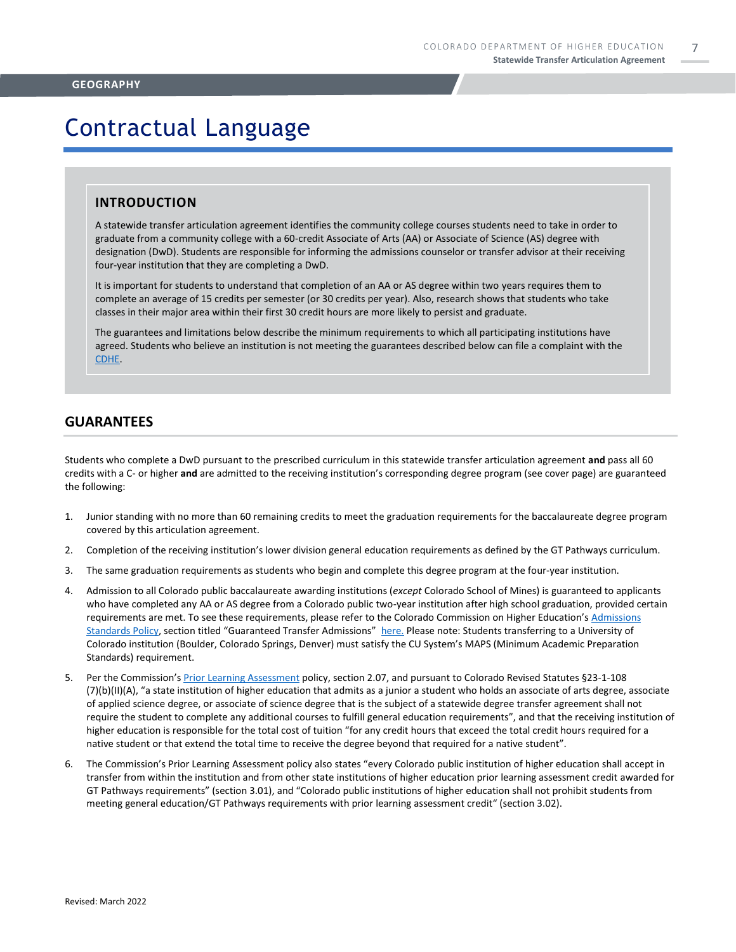### Contractual Language

#### **INTRODUCTION**

A statewide transfer articulation agreement identifies the community college courses students need to take in order to graduate from a community college with a 60-credit Associate of Arts (AA) or Associate of Science (AS) degree with designation (DwD). Students are responsible for informing the admissions counselor or transfer advisor at their receiving four-year institution that they are completing a DwD.

It is important for students to understand that completion of an AA or AS degree within two years requires them to complete an average of 15 credits per semester (or 30 credits per year). Also, research shows that students who take classes in their major area within their first 30 credit hours are more likely to persist and graduate.

The guarantees and limitations below describe the minimum requirements to which all participating institutions have agreed. Students who believe an institution is not meeting the guarantees described below can file a complaint with the [CDHE.](https://highered.colorado.gov/filing-student-complaint) 

#### **GUARANTEES**

Students who complete a DwD pursuant to the prescribed curriculum in this statewide transfer articulation agreement **and** pass all 60 credits with a C- or higher **and** are admitted to the receiving institution's corresponding degree program (see cover page) are guaranteed the following:

- 1. Junior standing with no more than 60 remaining credits to meet the graduation requirements for the baccalaureate degree program covered by this articulation agreement.
- 2. Completion of the receiving institution's lower division general education requirements as defined by the GT Pathways curriculum.
- 3. The same graduation requirements as students who begin and complete this degree program at the four-year institution.
- 4. Admission to all Colorado public baccalaureate awarding institutions (*except* Colorado School of Mines) is guaranteed to applicants who have completed any AA or AS degree from a Colorado public two-year institution after high school graduation, provided certain requirements are met. To see these requirements, please refer to the Colorado Commission on Higher Education's [Admissions](https://highered.colorado.gov/sites/highered/files/2020-03/i-partf_0.pdf)  [Standards Policy](https://highered.colorado.gov/sites/highered/files/2020-03/i-partf_0.pdf), section titled "Guaranteed Transfer Admissions" [here.](https://highered.colorado.gov/educators/policy-funding/cche-policies-procedures) Please note: Students transferring to a University of Colorado institution (Boulder, Colorado Springs, Denver) must satisfy the CU System's MAPS (Minimum Academic Preparation Standards) requirement.
- 5. Per the Commission's [Prior Learning Assessment](https://highered.colorado.gov/sites/highered/files/2020-03/i-partx.pdf) policy, section 2.07, and pursuant to Colorado Revised Statutes §23-1-108 (7)(b)(II)(A), "a state institution of higher education that admits as a junior a student who holds an associate of arts degree, associate of applied science degree, or associate of science degree that is the subject of a statewide degree transfer agreement shall not require the student to complete any additional courses to fulfill general education requirements", and that the receiving institution of higher education is responsible for the total cost of tuition "for any credit hours that exceed the total credit hours required for a native student or that extend the total time to receive the degree beyond that required for a native student".
- 6. The Commission's Prior Learning Assessment policy also states "every Colorado public institution of higher education shall accept in transfer from within the institution and from other state institutions of higher education prior learning assessment credit awarded for GT Pathways requirements" (section 3.01), and "Colorado public institutions of higher education shall not prohibit students from meeting general education/GT Pathways requirements with prior learning assessment credit" (section 3.02).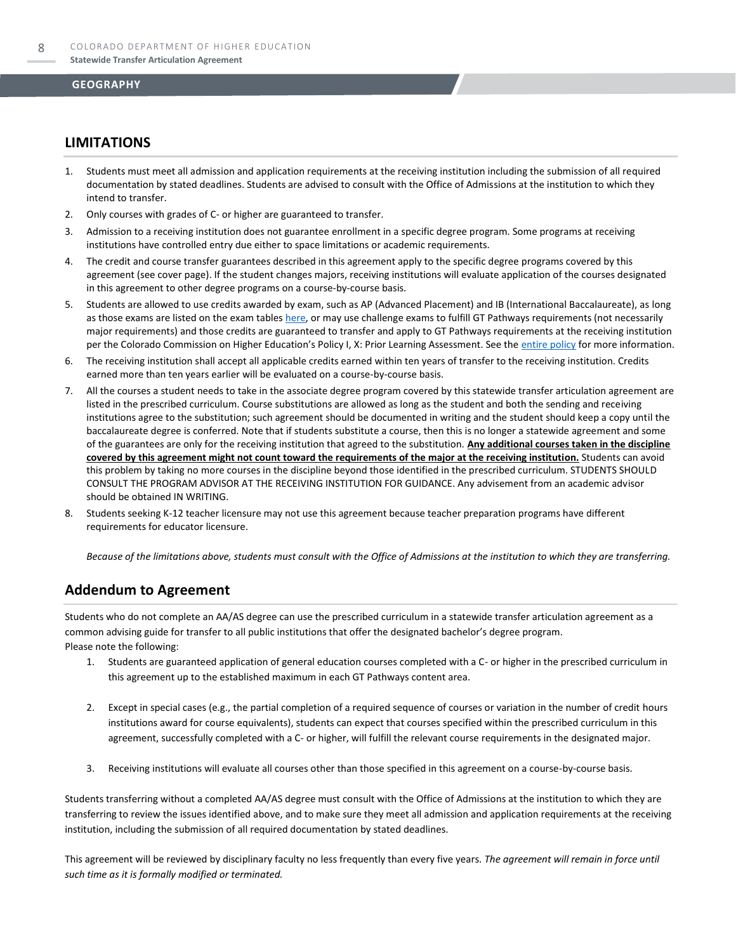### **LIMITATIONS**

- 1. Students must meet all admission and application requirements at the receiving institution including the submission of all required documentation by stated deadlines. Students are advised to consult with the Office of Admissions at the institution to which they intend to transfer.
- 2. Only courses with grades of C- or higher are guaranteed to transfer.
- 3. Admission to a receiving institution does not guarantee enrollment in a specific degree program. Some programs at receiving institutions have controlled entry due either to space limitations or academic requirements.
- 4. The credit and course transfer guarantees described in this agreement apply to the specific degree programs covered by this agreement (see cover page). If the student changes majors, receiving institutions will evaluate application of the courses designated in this agreement to other degree programs on a course-by-course basis.
- 5. Students are allowed to use credits awarded by exam, such as AP (Advanced Placement) and IB (International Baccalaureate), as long as those exams are listed on the exam table[s here,](https://highered.colorado.gov/get-credit-for-what-you-already-know) or may use challenge exams to fulfill GT Pathways requirements (not necessarily major requirements) and those credits are guaranteed to transfer and apply to GT Pathways requirements at the receiving institution per the Colorado Commission on Higher Education's Policy I, X: Prior Learning Assessment. See the [entire policy](https://highered.colorado.gov/sites/highered/files/2020-03/i-partx.pdf) for more information.
- 6. The receiving institution shall accept all applicable credits earned within ten years of transfer to the receiving institution. Credits earned more than ten years earlier will be evaluated on a course-by-course basis.
- 7. All the courses a student needs to take in the associate degree program covered by this statewide transfer articulation agreement are listed in the prescribed curriculum. Course substitutions are allowed as long as the student and both the sending and receiving institutions agree to the substitution; such agreement should be documented in writing and the student should keep a copy until the baccalaureate degree is conferred. Note that if students substitute a course, then this is no longer a statewide agreement and some of the guarantees are only for the receiving institution that agreed to the substitution. **Any additional courses taken in the discipline covered by this agreement might not count toward the requirements of the major at the receiving institution.** Students can avoid this problem by taking no more courses in the discipline beyond those identified in the prescribed curriculum. STUDENTS SHOULD CONSULT THE PROGRAM ADVISOR AT THE RECEIVING INSTITUTION FOR GUIDANCE. Any advisement from an academic advisor should be obtained IN WRITING.
- Students seeking K-12 teacher licensure may not use this agreement because teacher preparation programs have different requirements for educator licensure.

*Because of the limitations above, students must consult with the Office of Admissions at the institution to which they are transferring.*

### **Addendum to Agreement**

Students who do not complete an AA/AS degree can use the prescribed curriculum in a statewide transfer articulation agreement as a common advising guide for transfer to all public institutions that offer the designated bachelor's degree program. Please note the following:

- 1. Students are guaranteed application of general education courses completed with a C- or higher in the prescribed curriculum in this agreement up to the established maximum in each GT Pathways content area.
- 2. Except in special cases (e.g., the partial completion of a required sequence of courses or variation in the number of credit hours institutions award for course equivalents), students can expect that courses specified within the prescribed curriculum in this agreement, successfully completed with a C- or higher, will fulfill the relevant course requirements in the designated major.
- 3. Receiving institutions will evaluate all courses other than those specified in this agreement on a course-by-course basis.

Students transferring without a completed AA/AS degree must consult with the Office of Admissions at the institution to which they are transferring to review the issues identified above, and to make sure they meet all admission and application requirements at the receiving institution, including the submission of all required documentation by stated deadlines.

This agreement will be reviewed by disciplinary faculty no less frequently than every five years. *The agreement will remain in force until such time as it is formally modified or terminated.*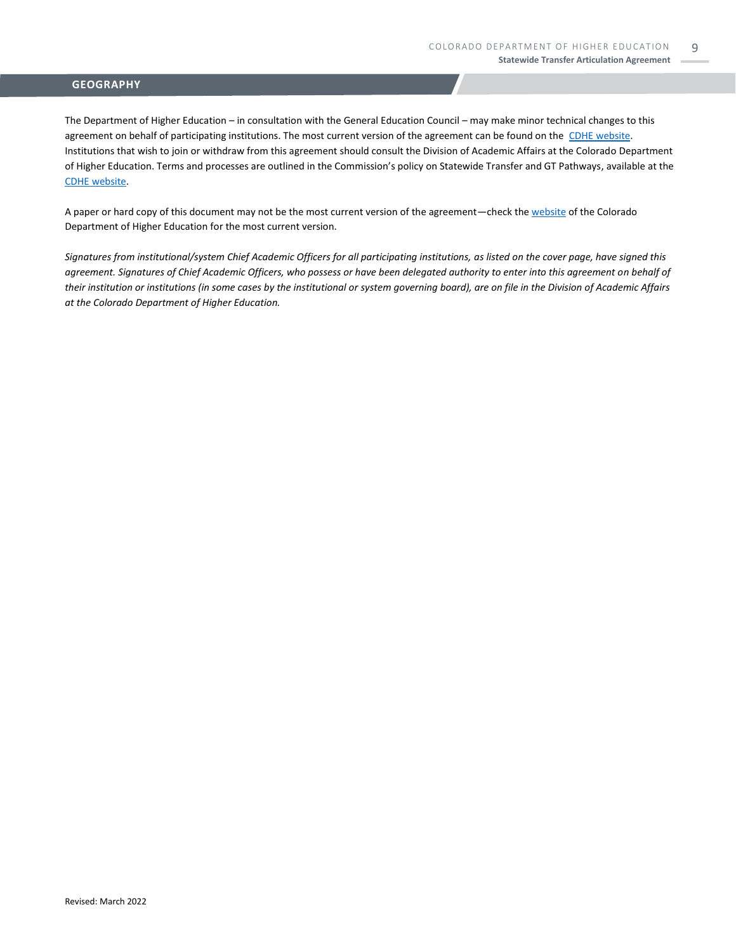The Department of Higher Education – in consultation with the General Education Council – may make minor technical changes to this agreement on behalf of participating institutions. The most current version of the agreement can be found on the [CDHE website.](https://highered.colorado.gov/transfer-degrees) Institutions that wish to join or withdraw from this agreement should consult the Division of Academic Affairs at the Colorado Department of Higher Education. Terms and processes are outlined in the Commission's policy on Statewide Transfer and GT Pathways, available at the [CDHE website.](https://highered.colorado.gov/educators/policy-funding/general-education-ge-council/gtpathways/transfer-agreements)

A paper or hard copy of this document may not be the most current version of the agreement—check th[e website](https://highered.colorado.gov/transfer-degrees) of the Colorado Department of Higher Education for the most current version.

*Signatures from institutional/system Chief Academic Officers for all participating institutions, as listed on the cover page, have signed this agreement. Signatures of Chief Academic Officers, who possess or have been delegated authority to enter into this agreement on behalf of their institution or institutions (in some cases by the institutional or system governing board), are on file in the Division of Academic Affairs at the Colorado Department of Higher Education.*